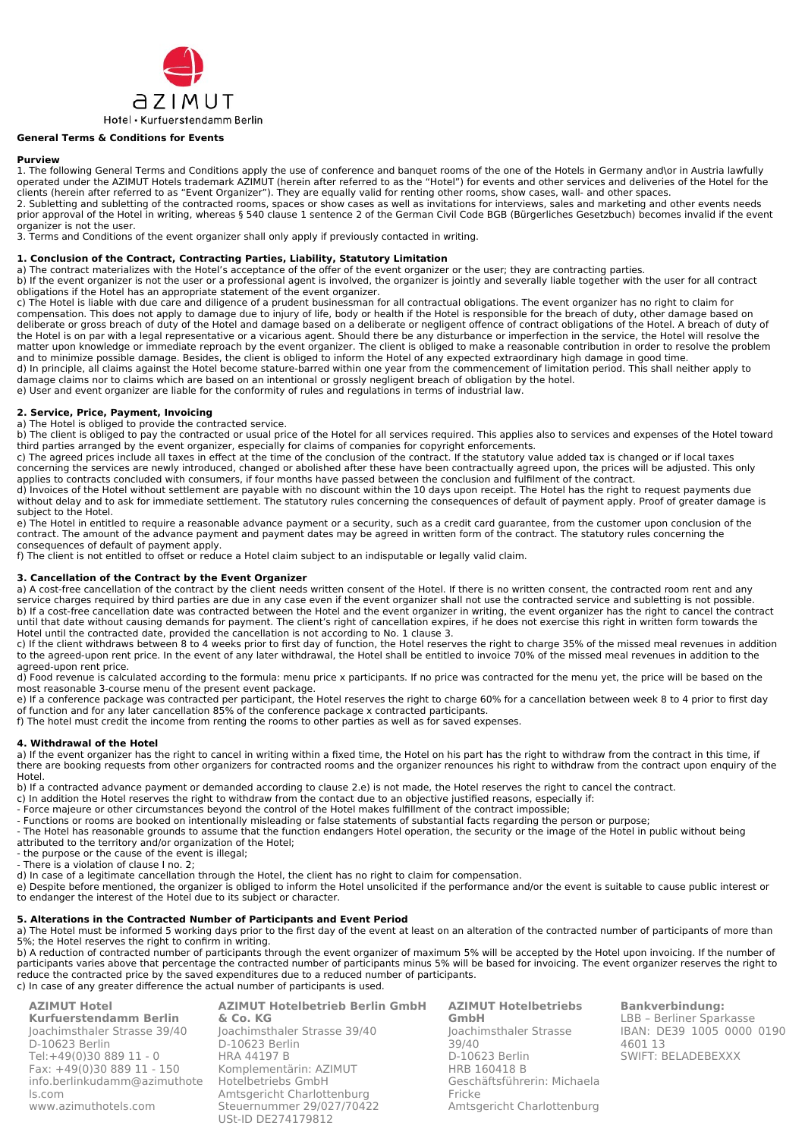

## **General Terms & Conditions for Events**

#### **Purview**

1. The following General Terms and Conditions apply the use of conference and banquet rooms of the one of the Hotels in Germany and\or in Austria lawfully operated under the AZIMUT Hotels trademark AZIMUT (herein after referred to as the "Hotel") for events and other services and deliveries of the Hotel for the clients (herein after referred to as "Event Organizer"). They are equally valid for renting other rooms, show cases, wall- and other spaces. 2. Subletting and subletting of the contracted rooms, spaces or show cases as well as invitations for interviews, sales and marketing and other events needs prior approval of the Hotel in writing, whereas § 540 clause 1 sentence 2 of the German Civil Code BGB (Bürgerliches Gesetzbuch) becomes invalid if the event

organizer is not the user. 3. Terms and Conditions of the event organizer shall only apply if previously contacted in writing.

# **1. Conclusion of the Contract, Contracting Parties, Liability, Statutory Limitation**

a) The contract materializes with the Hotel's acceptance of the offer of the event organizer or the user; they are contracting parties.

b) If the event organizer is not the user or a professional agent is involved, the organizer is jointly and severally liable together with the user for all contract obligations if the Hotel has an appropriate statement of the event organizer.

c) The Hotel is liable with due care and diligence of a prudent businessman for all contractual obligations. The event organizer has no right to claim for compensation. This does not apply to damage due to injury of life, body or health if the Hotel is responsible for the breach of duty, other damage based on deliberate or gross breach of duty of the Hotel and damage based on a deliberate or negligent offence of contract obligations of the Hotel. A breach of duty of the Hotel is on par with a legal representative or a vicarious agent. Should there be any disturbance or imperfection in the service, the Hotel will resolve the matter upon knowledge or immediate reproach by the event organizer. The client is obliged to make a reasonable contribution in order to resolve the problem and to minimize possible damage. Besides, the client is obliged to inform the Hotel of any expected extraordinary high damage in good time. d) In principle, all claims against the Hotel become stature-barred within one year from the commencement of limitation period. This shall neither apply to damage claims nor to claims which are based on an intentional or grossly negligent breach of obligation by the hotel.

e) User and event organizer are liable for the conformity of rules and regulations in terms of industrial law.

### **2. Service, Price, Payment, Invoicing**

a) The Hotel is obliged to provide the contracted service.

b) The client is obliged to pay the contracted or usual price of the Hotel for all services required. This applies also to services and expenses of the Hotel toward third parties arranged by the event organizer, especially for claims of companies for copyright enforcements.

c) The agreed prices include all taxes in effect at the time of the conclusion of the contract. If the statutory value added tax is changed or if local taxes concerning the services are newly introduced, changed or abolished after these have been contractually agreed upon, the prices will be adjusted. This only applies to contracts concluded with consumers, if four months have passed between the conclusion and fulfilment of the contract.

d) Invoices of the Hotel without settlement are payable with no discount within the 10 days upon receipt. The Hotel has the right to request payments due without delay and to ask for immediate settlement. The statutory rules concerning the consequences of default of payment apply. Proof of greater damage is subject to the Hotel.

e) The Hotel in entitled to require a reasonable advance payment or a security, such as a credit card guarantee, from the customer upon conclusion of the contract. The amount of the advance payment and payment dates may be agreed in written form of the contract. The statutory rules concerning the consequences of default of payment apply.

f) The client is not entitled to offset or reduce a Hotel claim subject to an indisputable or legally valid claim.

### **3. Cancellation of the Contract by the Event Organizer**

a) A cost-free cancellation of the contract by the client needs written consent of the Hotel. If there is no written consent, the contracted room rent and any service charges required by third parties are due in any case even if the event organizer shall not use the contracted service and subletting is not possible. b) If a cost-free cancellation date was contracted between the Hotel and the event organizer in writing, the event organizer has the right to cancel the contract until that date without causing demands for payment. The client's right of cancellation expires, if he does not exercise this right in written form towards the Hotel until the contracted date, provided the cancellation is not according to No. 1 clause 3.

c) If the client withdraws between 8 to 4 weeks prior to first day of function, the Hotel reserves the right to charge 35% of the missed meal revenues in addition to the agreed-upon rent price. In the event of any later withdrawal, the Hotel shall be entitled to invoice 70% of the missed meal revenues in addition to the agreed-upon rent price.

d) Food revenue is calculated according to the formula: menu price x participants. If no price was contracted for the menu yet, the price will be based on the most reasonable 3-course menu of the present event package.

e) If a conference package was contracted per participant, the Hotel reserves the right to charge 60% for a cancellation between week 8 to 4 prior to first day of function and for any later cancellation 85% of the conference package x contracted participants.

f) The hotel must credit the income from renting the rooms to other parties as well as for saved expenses.

### **4. Withdrawal of the Hotel**

a) If the event organizer has the right to cancel in writing within a fixed time, the Hotel on his part has the right to withdraw from the contract in this time, if there are booking requests from other organizers for contracted rooms and the organizer renounces his right to withdraw from the contract upon enquiry of the Hotel.

b) If a contracted advance payment or demanded according to clause 2.e) is not made, the Hotel reserves the right to cancel the contract.

- c) In addition the Hotel reserves the right to withdraw from the contact due to an objective justified reasons, especially if:
- Force majeure or other circumstances beyond the control of the Hotel makes fulfillment of the contract impossible;
- Functions or rooms are booked on intentionally misleading or false statements of substantial facts regarding the person or purpose;
- The Hotel has reasonable grounds to assume that the function endangers Hotel operation, the security or the image of the Hotel in public without being attributed to the territory and/or organization of the Hotel;
- the purpose or the cause of the event is illegal;

- There is a violation of clause I no. 2;

d) In case of a legitimate cancellation through the Hotel, the client has no right to claim for compensation.

e) Despite before mentioned, the organizer is obliged to inform the Hotel unsolicited if the performance and/or the event is suitable to cause public interest or to endanger the interest of the Hotel due to its subject or character.

# **5. Alterations in the Contracted Number of Participants and Event Period**

a) The Hotel must be informed 5 working days prior to the first day of the event at least on an alteration of the contracted number of participants of more than 5%; the Hotel reserves the right to confirm in writing.

b) A reduction of contracted number of participants through the event organizer of maximum 5% will be accepted by the Hotel upon invoicing. If the number of participants varies above that percentage the contracted number of participants minus 5% will be based for invoicing. The event organizer reserves the right to reduce the contracted price by the saved expenditures due to a reduced number of participants. c) In case of any greater difference the actual number of participants is used.

| <b>AZIMUT Hotel</b><br><b>Kurfuerstendamm Berlin</b> | <b>AZIMUT Hotelbetrieb Berlin GmbH</b><br>& Co. KG | <b>AZIMU</b><br>GmbH |
|------------------------------------------------------|----------------------------------------------------|----------------------|
| Joachimsthaler Strasse 39/40                         | Joachimsthaler Strasse 39/40                       | Joachim              |
| D-10623 Berlin                                       | D-10623 Berlin                                     | 39/40                |
| Tel:+49(0)30 889 11 - 0                              | <b>HRA 44197 B</b>                                 | $D-1062$             |
| Fax: $+49(0)3088911 - 150$                           | Komplementärin: AZIMUT                             | <b>HRB 16</b>        |
| info.berlinkudamm@azimuthote                         | Hotelbetriebs GmbH                                 | Geschä               |
| ls.com                                               | Amtsgericht Charlottenburg                         | Fricke               |
| www.azimuthotels.com                                 | Steuernummer 29/027/70422                          | Amtsge               |
|                                                      | USt-ID DF274179812                                 |                      |

**AZIMUT Hotelbetriebs**  nsthaler Strasse 3 Berlin 0418 B ftsführerin: Michaela ericht Charlottenburg

**Bankverbindung:** LBB – Berliner Sparkasse IBAN: DE39 1005 0000 0190 4601 13 SWIFT: BELADEBEXXX